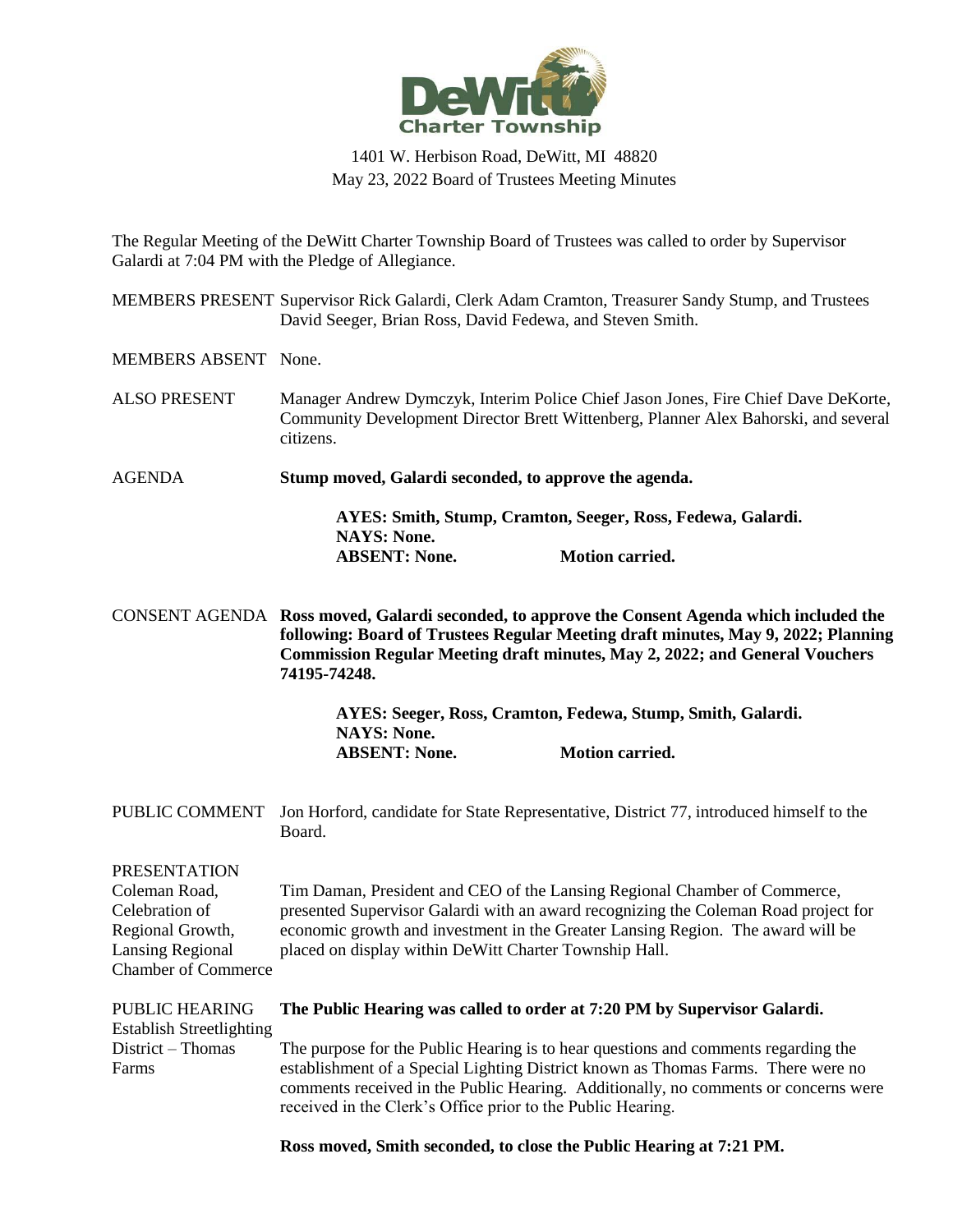

## 1401 W. Herbison Road, DeWitt, MI 48820 May 23, 2022 Board of Trustees Meeting Minutes

The Regular Meeting of the DeWitt Charter Township Board of Trustees was called to order by Supervisor Galardi at 7:04 PM with the Pledge of Allegiance.

MEMBERS PRESENT Supervisor Rick Galardi, Clerk Adam Cramton, Treasurer Sandy Stump, and Trustees David Seeger, Brian Ross, David Fedewa, and Steven Smith.

MEMBERS ABSENT None.

- ALSO PRESENT Manager Andrew Dymczyk, Interim Police Chief Jason Jones, Fire Chief Dave DeKorte, Community Development Director Brett Wittenberg, Planner Alex Bahorski, and several citizens.
- AGENDA **Stump moved, Galardi seconded, to approve the agenda.**

**AYES: Smith, Stump, Cramton, Seeger, Ross, Fedewa, Galardi. NAYS: None. ABSENT: None. Motion carried.**

CONSENT AGENDA **Ross moved, Galardi seconded, to approve the Consent Agenda which included the following: Board of Trustees Regular Meeting draft minutes, May 9, 2022; Planning Commission Regular Meeting draft minutes, May 2, 2022; and General Vouchers 74195-74248.**

> **AYES: Seeger, Ross, Cramton, Fedewa, Stump, Smith, Galardi. NAYS: None. ABSENT: None. Motion carried.**

PUBLIC COMMENT Jon Horford, candidate for State Representative, District 77, introduced himself to the Board.

PRESENTATION Coleman Road, Celebration of Regional Growth, Lansing Regional Chamber of Commerce Tim Daman, President and CEO of the Lansing Regional Chamber of Commerce, presented Supervisor Galardi with an award recognizing the Coleman Road project for economic growth and investment in the Greater Lansing Region. The award will be placed on display within DeWitt Charter Township Hall.

| <b>PUBLIC HEARING</b>           | The Public Hearing was called to order at 7:20 PM by Supervisor Galardi.            |
|---------------------------------|-------------------------------------------------------------------------------------|
| <b>Establish Streetlighting</b> |                                                                                     |
| $District - Thomas$             | The purpose for the Public Hearing is to hear questions and comments regarding the  |
| Farms                           | establishment of a Special Lighting District known as Thomas Farms. There were no   |
|                                 | comments received in the Public Hearing. Additionally, no comments or concerns were |
|                                 | received in the Clerk's Office prior to the Public Hearing.                         |

**Ross moved, Smith seconded, to close the Public Hearing at 7:21 PM.**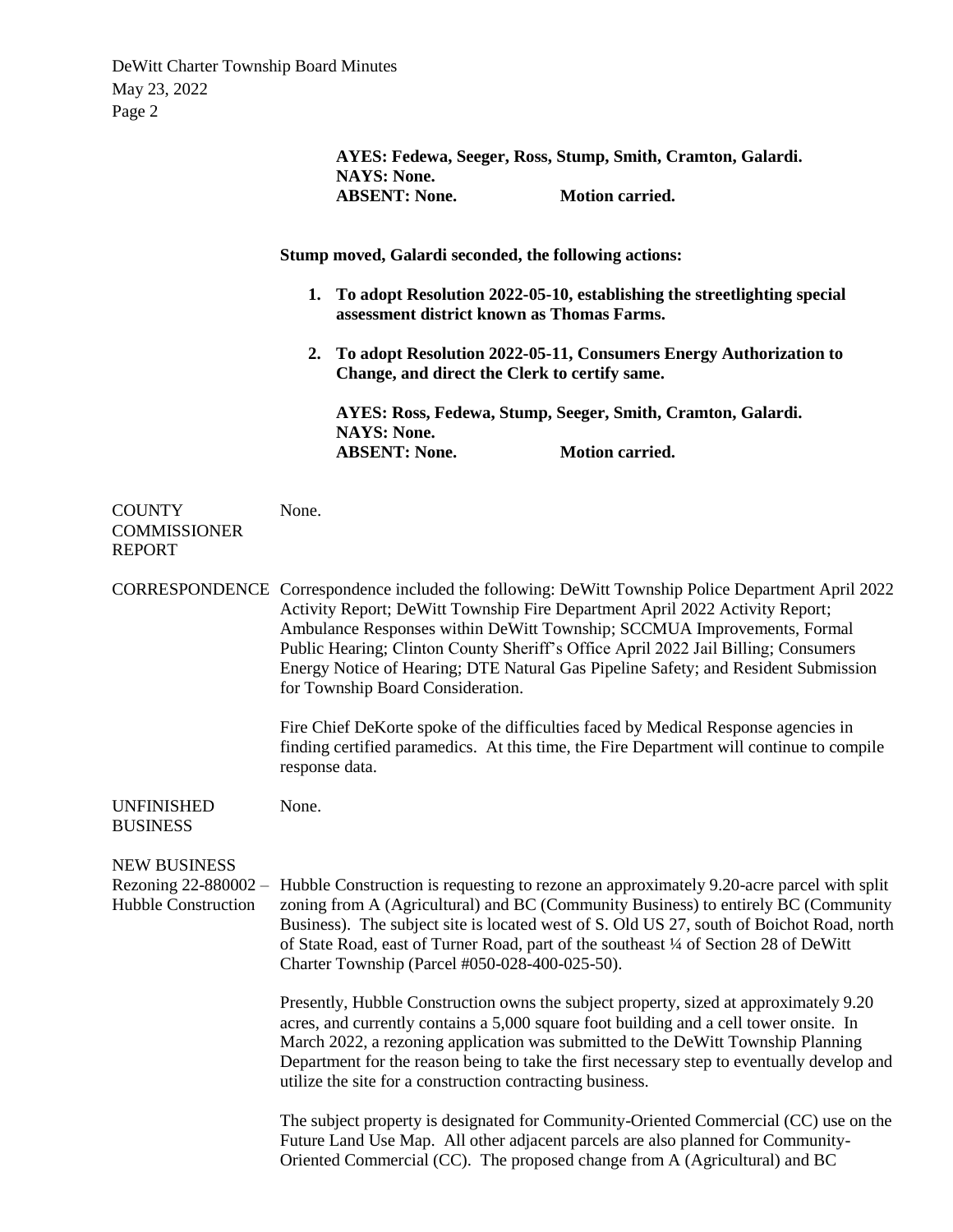|                                                                           |                                                                                                                                                                                                                                                                                                                                                                                                                                                                                | AYES: Fedewa, Seeger, Ross, Stump, Smith, Cramton, Galardi.<br><b>NAYS: None.</b><br><b>ABSENT: None.</b>                                                                                                                                                                                                                                                                                                                      | Motion carried.        |  |
|---------------------------------------------------------------------------|--------------------------------------------------------------------------------------------------------------------------------------------------------------------------------------------------------------------------------------------------------------------------------------------------------------------------------------------------------------------------------------------------------------------------------------------------------------------------------|--------------------------------------------------------------------------------------------------------------------------------------------------------------------------------------------------------------------------------------------------------------------------------------------------------------------------------------------------------------------------------------------------------------------------------|------------------------|--|
|                                                                           |                                                                                                                                                                                                                                                                                                                                                                                                                                                                                | Stump moved, Galardi seconded, the following actions:                                                                                                                                                                                                                                                                                                                                                                          |                        |  |
|                                                                           | 1. To adopt Resolution 2022-05-10, establishing the streetlighting special<br>assessment district known as Thomas Farms.<br>2. To adopt Resolution 2022-05-11, Consumers Energy Authorization to<br>Change, and direct the Clerk to certify same.                                                                                                                                                                                                                              |                                                                                                                                                                                                                                                                                                                                                                                                                                |                        |  |
|                                                                           |                                                                                                                                                                                                                                                                                                                                                                                                                                                                                |                                                                                                                                                                                                                                                                                                                                                                                                                                |                        |  |
|                                                                           |                                                                                                                                                                                                                                                                                                                                                                                                                                                                                | AYES: Ross, Fedewa, Stump, Seeger, Smith, Cramton, Galardi.<br><b>NAYS: None.</b>                                                                                                                                                                                                                                                                                                                                              |                        |  |
|                                                                           |                                                                                                                                                                                                                                                                                                                                                                                                                                                                                | <b>ABSENT: None.</b>                                                                                                                                                                                                                                                                                                                                                                                                           | <b>Motion carried.</b> |  |
| <b>COUNTY</b><br><b>COMMISSIONER</b><br><b>REPORT</b>                     | None.                                                                                                                                                                                                                                                                                                                                                                                                                                                                          |                                                                                                                                                                                                                                                                                                                                                                                                                                |                        |  |
|                                                                           | CORRESPONDENCE Correspondence included the following: DeWitt Township Police Department April 2022<br>Activity Report; DeWitt Township Fire Department April 2022 Activity Report;<br>Ambulance Responses within DeWitt Township; SCCMUA Improvements, Formal<br>Public Hearing; Clinton County Sheriff's Office April 2022 Jail Billing; Consumers<br>Energy Notice of Hearing; DTE Natural Gas Pipeline Safety; and Resident Submission<br>for Township Board Consideration. |                                                                                                                                                                                                                                                                                                                                                                                                                                |                        |  |
|                                                                           | response data.                                                                                                                                                                                                                                                                                                                                                                                                                                                                 | Fire Chief DeKorte spoke of the difficulties faced by Medical Response agencies in<br>finding certified paramedics. At this time, the Fire Department will continue to compile                                                                                                                                                                                                                                                 |                        |  |
| UNFINISHED<br><b>BUSINESS</b>                                             | None.                                                                                                                                                                                                                                                                                                                                                                                                                                                                          |                                                                                                                                                                                                                                                                                                                                                                                                                                |                        |  |
| <b>NEW BUSINESS</b><br>Rezoning 22-880002 -<br><b>Hubble Construction</b> | Hubble Construction is requesting to rezone an approximately 9.20-acre parcel with split<br>zoning from A (Agricultural) and BC (Community Business) to entirely BC (Community<br>Business). The subject site is located west of S. Old US 27, south of Boichot Road, north<br>of State Road, east of Turner Road, part of the southeast 1/4 of Section 28 of DeWitt<br>Charter Township (Parcel #050-028-400-025-50).                                                         |                                                                                                                                                                                                                                                                                                                                                                                                                                |                        |  |
|                                                                           |                                                                                                                                                                                                                                                                                                                                                                                                                                                                                | Presently, Hubble Construction owns the subject property, sized at approximately 9.20<br>acres, and currently contains a 5,000 square foot building and a cell tower onsite. In<br>March 2022, a rezoning application was submitted to the DeWitt Township Planning<br>Department for the reason being to take the first necessary step to eventually develop and<br>utilize the site for a construction contracting business. |                        |  |
|                                                                           |                                                                                                                                                                                                                                                                                                                                                                                                                                                                                | The subject property is designated for Community-Oriented Commercial (CC) use on the<br>Future Land Use Map. All other adjacent parcels are also planned for Community-<br>Oriented Commercial (CC). The proposed change from A (Agricultural) and BC                                                                                                                                                                          |                        |  |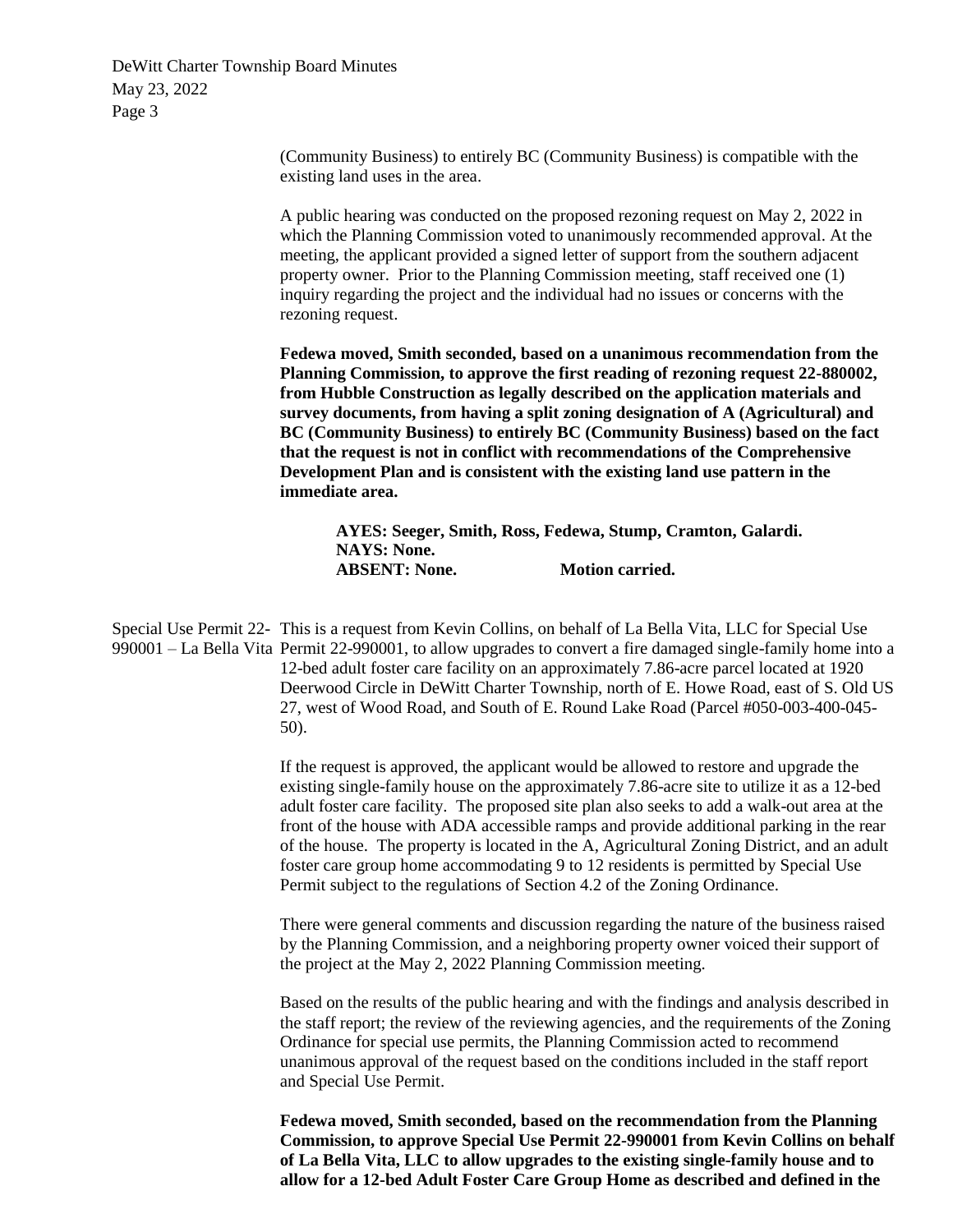> (Community Business) to entirely BC (Community Business) is compatible with the existing land uses in the area.

A public hearing was conducted on the proposed rezoning request on May 2, 2022 in which the Planning Commission voted to unanimously recommended approval. At the meeting, the applicant provided a signed letter of support from the southern adjacent property owner. Prior to the Planning Commission meeting, staff received one (1) inquiry regarding the project and the individual had no issues or concerns with the rezoning request.

**Fedewa moved, Smith seconded, based on a unanimous recommendation from the Planning Commission, to approve the first reading of rezoning request 22-880002, from Hubble Construction as legally described on the application materials and survey documents, from having a split zoning designation of A (Agricultural) and BC (Community Business) to entirely BC (Community Business) based on the fact that the request is not in conflict with recommendations of the Comprehensive Development Plan and is consistent with the existing land use pattern in the immediate area.**

**AYES: Seeger, Smith, Ross, Fedewa, Stump, Cramton, Galardi. NAYS: None. ABSENT: None. Motion carried.**

Special Use Permit 22- This is a request from Kevin Collins, on behalf of La Bella Vita, LLC for Special Use 990001 – La Bella Vita Permit 22-990001, to allow upgrades to convert a fire damaged single-family home into a 12-bed adult foster care facility on an approximately 7.86-acre parcel located at 1920 Deerwood Circle in DeWitt Charter Township, north of E. Howe Road, east of S. Old US 27, west of Wood Road, and South of E. Round Lake Road (Parcel #050-003-400-045- 50).

> If the request is approved, the applicant would be allowed to restore and upgrade the existing single-family house on the approximately 7.86-acre site to utilize it as a 12-bed adult foster care facility. The proposed site plan also seeks to add a walk-out area at the front of the house with ADA accessible ramps and provide additional parking in the rear of the house. The property is located in the A, Agricultural Zoning District, and an adult foster care group home accommodating 9 to 12 residents is permitted by Special Use Permit subject to the regulations of Section 4.2 of the Zoning Ordinance.

> There were general comments and discussion regarding the nature of the business raised by the Planning Commission, and a neighboring property owner voiced their support of the project at the May 2, 2022 Planning Commission meeting.

> Based on the results of the public hearing and with the findings and analysis described in the staff report; the review of the reviewing agencies, and the requirements of the Zoning Ordinance for special use permits, the Planning Commission acted to recommend unanimous approval of the request based on the conditions included in the staff report and Special Use Permit.

> **Fedewa moved, Smith seconded, based on the recommendation from the Planning Commission, to approve Special Use Permit 22-990001 from Kevin Collins on behalf of La Bella Vita, LLC to allow upgrades to the existing single-family house and to allow for a 12-bed Adult Foster Care Group Home as described and defined in the**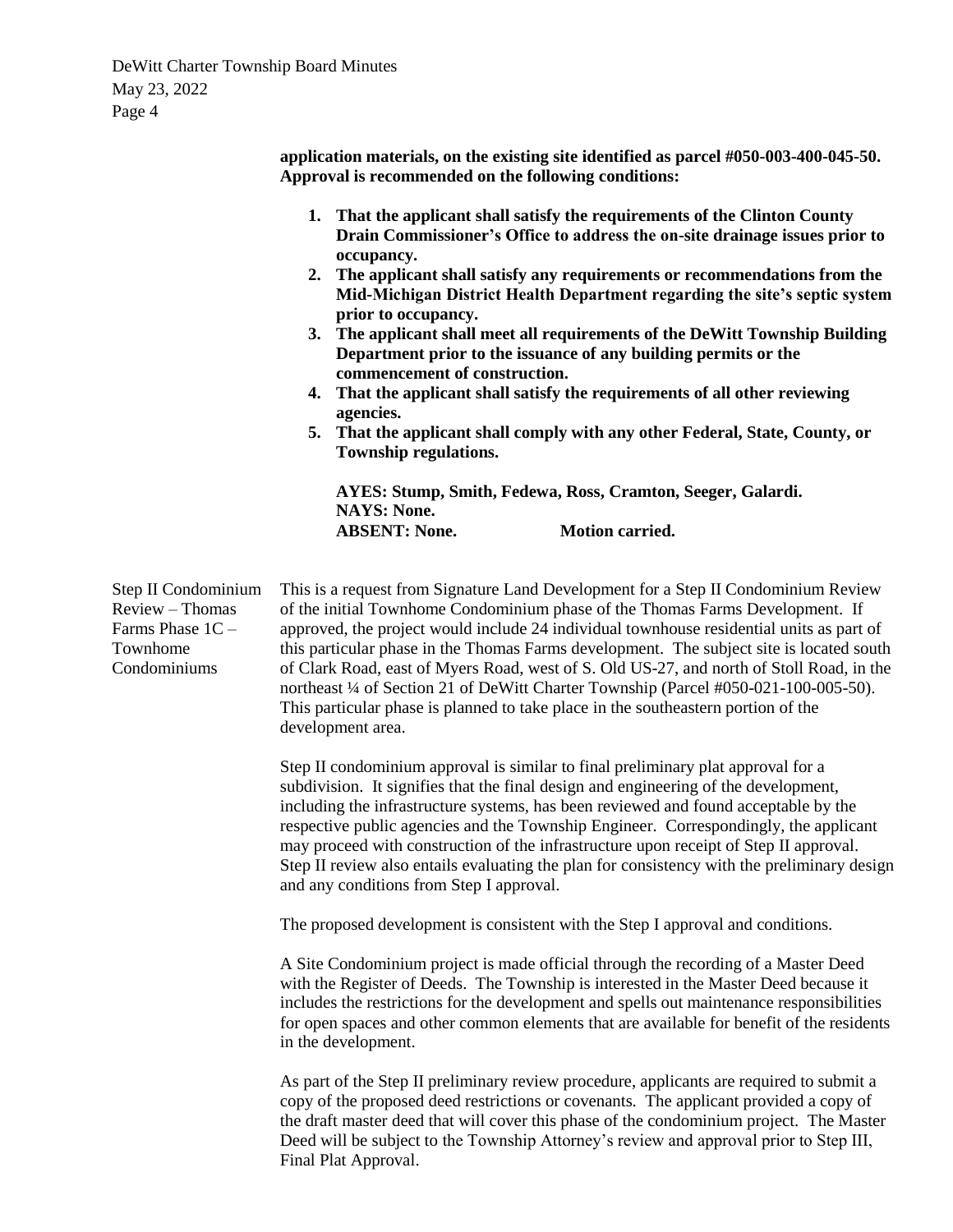**application materials, on the existing site identified as parcel #050-003-400-045-50. Approval is recommended on the following conditions: 1. That the applicant shall satisfy the requirements of the Clinton County Drain Commissioner's Office to address the on-site drainage issues prior to occupancy. 2. The applicant shall satisfy any requirements or recommendations from the Mid-Michigan District Health Department regarding the site's septic system prior to occupancy. 3. The applicant shall meet all requirements of the DeWitt Township Building Department prior to the issuance of any building permits or the commencement of construction. 4. That the applicant shall satisfy the requirements of all other reviewing agencies. 5. That the applicant shall comply with any other Federal, State, County, or Township regulations. AYES: Stump, Smith, Fedewa, Ross, Cramton, Seeger, Galardi. NAYS: None. ABSENT: None. Motion carried.** Step II Condominium Review – Thomas Farms Phase 1C – Townhome Condominiums This is a request from Signature Land Development for a Step II Condominium Review of the initial Townhome Condominium phase of the Thomas Farms Development. If approved, the project would include 24 individual townhouse residential units as part of this particular phase in the Thomas Farms development. The subject site is located south of Clark Road, east of Myers Road, west of S. Old US-27, and north of Stoll Road, in the northeast ¼ of Section 21 of DeWitt Charter Township (Parcel #050-021-100-005-50). This particular phase is planned to take place in the southeastern portion of the development area. Step II condominium approval is similar to final preliminary plat approval for a subdivision. It signifies that the final design and engineering of the development, including the infrastructure systems, has been reviewed and found acceptable by the respective public agencies and the Township Engineer. Correspondingly, the applicant may proceed with construction of the infrastructure upon receipt of Step II approval. Step II review also entails evaluating the plan for consistency with the preliminary design and any conditions from Step I approval. The proposed development is consistent with the Step I approval and conditions. A Site Condominium project is made official through the recording of a Master Deed with the Register of Deeds. The Township is interested in the Master Deed because it includes the restrictions for the development and spells out maintenance responsibilities for open spaces and other common elements that are available for benefit of the residents in the development. As part of the Step II preliminary review procedure, applicants are required to submit a copy of the proposed deed restrictions or covenants. The applicant provided a copy of the draft master deed that will cover this phase of the condominium project. The Master Deed will be subject to the Township Attorney's review and approval prior to Step III,

Final Plat Approval.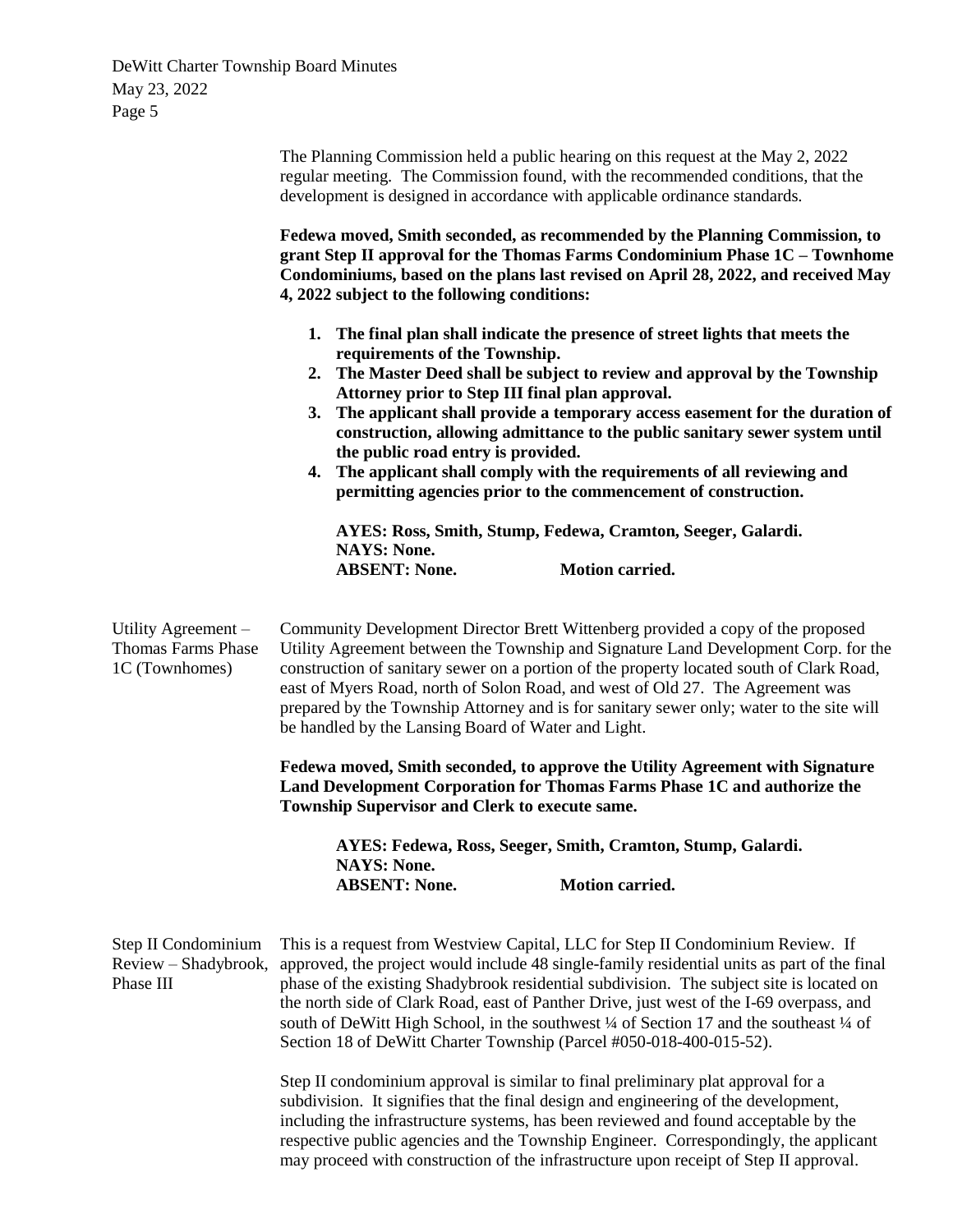|                                                                    | The Planning Commission held a public hearing on this request at the May 2, 2022<br>regular meeting. The Commission found, with the recommended conditions, that the<br>development is designed in accordance with applicable ordinance standards.                                                                                                                                                                                                                                                                                                                                                                                                                                                                                                                                                                                                                                                                                                                                                               |  |  |
|--------------------------------------------------------------------|------------------------------------------------------------------------------------------------------------------------------------------------------------------------------------------------------------------------------------------------------------------------------------------------------------------------------------------------------------------------------------------------------------------------------------------------------------------------------------------------------------------------------------------------------------------------------------------------------------------------------------------------------------------------------------------------------------------------------------------------------------------------------------------------------------------------------------------------------------------------------------------------------------------------------------------------------------------------------------------------------------------|--|--|
|                                                                    | Fedewa moved, Smith seconded, as recommended by the Planning Commission, to<br>grant Step II approval for the Thomas Farms Condominium Phase 1C - Townhome<br>Condominiums, based on the plans last revised on April 28, 2022, and received May<br>4, 2022 subject to the following conditions:                                                                                                                                                                                                                                                                                                                                                                                                                                                                                                                                                                                                                                                                                                                  |  |  |
|                                                                    | 1. The final plan shall indicate the presence of street lights that meets the<br>requirements of the Township.<br>2. The Master Deed shall be subject to review and approval by the Township<br>Attorney prior to Step III final plan approval.<br>The applicant shall provide a temporary access easement for the duration of<br>3.<br>construction, allowing admittance to the public sanitary sewer system until<br>the public road entry is provided.<br>The applicant shall comply with the requirements of all reviewing and<br>4.<br>permitting agencies prior to the commencement of construction.                                                                                                                                                                                                                                                                                                                                                                                                       |  |  |
|                                                                    | AYES: Ross, Smith, Stump, Fedewa, Cramton, Seeger, Galardi.<br><b>NAYS: None.</b><br><b>ABSENT: None.</b><br><b>Motion carried.</b>                                                                                                                                                                                                                                                                                                                                                                                                                                                                                                                                                                                                                                                                                                                                                                                                                                                                              |  |  |
|                                                                    |                                                                                                                                                                                                                                                                                                                                                                                                                                                                                                                                                                                                                                                                                                                                                                                                                                                                                                                                                                                                                  |  |  |
| Utility Agreement -<br><b>Thomas Farms Phase</b><br>1C (Townhomes) | Community Development Director Brett Wittenberg provided a copy of the proposed<br>Utility Agreement between the Township and Signature Land Development Corp. for the<br>construction of sanitary sewer on a portion of the property located south of Clark Road,<br>east of Myers Road, north of Solon Road, and west of Old 27. The Agreement was<br>prepared by the Township Attorney and is for sanitary sewer only; water to the site will<br>be handled by the Lansing Board of Water and Light.                                                                                                                                                                                                                                                                                                                                                                                                                                                                                                          |  |  |
|                                                                    | Fedewa moved, Smith seconded, to approve the Utility Agreement with Signature<br>Land Development Corporation for Thomas Farms Phase 1C and authorize the<br>Township Supervisor and Clerk to execute same.                                                                                                                                                                                                                                                                                                                                                                                                                                                                                                                                                                                                                                                                                                                                                                                                      |  |  |
|                                                                    | AYES: Fedewa, Ross, Seeger, Smith, Cramton, Stump, Galardi.<br><b>NAYS: None.</b>                                                                                                                                                                                                                                                                                                                                                                                                                                                                                                                                                                                                                                                                                                                                                                                                                                                                                                                                |  |  |
|                                                                    | <b>Motion carried.</b><br><b>ABSENT: None.</b>                                                                                                                                                                                                                                                                                                                                                                                                                                                                                                                                                                                                                                                                                                                                                                                                                                                                                                                                                                   |  |  |
| Step II Condominium<br>Review - Shadybrook,<br>Phase III           | This is a request from Westview Capital, LLC for Step II Condominium Review. If<br>approved, the project would include 48 single-family residential units as part of the final<br>phase of the existing Shadybrook residential subdivision. The subject site is located on<br>the north side of Clark Road, east of Panther Drive, just west of the I-69 overpass, and<br>south of DeWitt High School, in the southwest $\frac{1}{4}$ of Section 17 and the southeast $\frac{1}{4}$ of<br>Section 18 of DeWitt Charter Township (Parcel #050-018-400-015-52).<br>Step II condominium approval is similar to final preliminary plat approval for a<br>subdivision. It signifies that the final design and engineering of the development,<br>including the infrastructure systems, has been reviewed and found acceptable by the<br>respective public agencies and the Township Engineer. Correspondingly, the applicant<br>may proceed with construction of the infrastructure upon receipt of Step II approval. |  |  |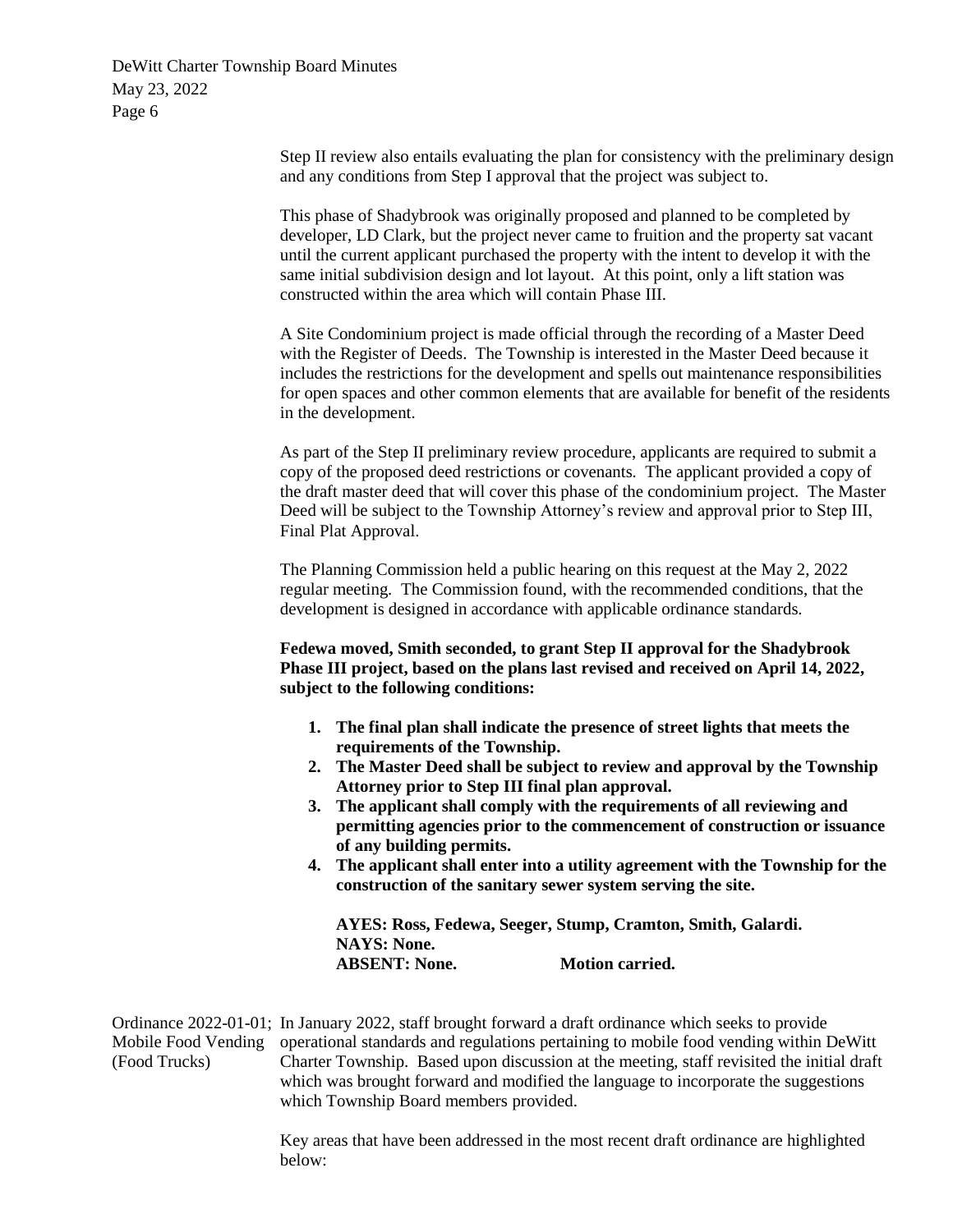> Step II review also entails evaluating the plan for consistency with the preliminary design and any conditions from Step I approval that the project was subject to.

This phase of Shadybrook was originally proposed and planned to be completed by developer, LD Clark, but the project never came to fruition and the property sat vacant until the current applicant purchased the property with the intent to develop it with the same initial subdivision design and lot layout. At this point, only a lift station was constructed within the area which will contain Phase III.

A Site Condominium project is made official through the recording of a Master Deed with the Register of Deeds. The Township is interested in the Master Deed because it includes the restrictions for the development and spells out maintenance responsibilities for open spaces and other common elements that are available for benefit of the residents in the development.

As part of the Step II preliminary review procedure, applicants are required to submit a copy of the proposed deed restrictions or covenants. The applicant provided a copy of the draft master deed that will cover this phase of the condominium project. The Master Deed will be subject to the Township Attorney's review and approval prior to Step III, Final Plat Approval.

The Planning Commission held a public hearing on this request at the May 2, 2022 regular meeting. The Commission found, with the recommended conditions, that the development is designed in accordance with applicable ordinance standards.

**Fedewa moved, Smith seconded, to grant Step II approval for the Shadybrook Phase III project, based on the plans last revised and received on April 14, 2022, subject to the following conditions:**

- **1. The final plan shall indicate the presence of street lights that meets the requirements of the Township.**
- **2. The Master Deed shall be subject to review and approval by the Township Attorney prior to Step III final plan approval.**
- **3. The applicant shall comply with the requirements of all reviewing and permitting agencies prior to the commencement of construction or issuance of any building permits.**
- **4. The applicant shall enter into a utility agreement with the Township for the construction of the sanitary sewer system serving the site.**

**AYES: Ross, Fedewa, Seeger, Stump, Cramton, Smith, Galardi. NAYS: None. ABSENT: None. Motion carried.**

Ordinance 2022-01-01; In January 2022, staff brought forward a draft ordinance which seeks to provide Mobile Food Vending operational standards and regulations pertaining to mobile food vending within DeWitt (Food Trucks) Charter Township. Based upon discussion at the meeting, staff revisited the initial draft which was brought forward and modified the language to incorporate the suggestions which Township Board members provided.

> Key areas that have been addressed in the most recent draft ordinance are highlighted below: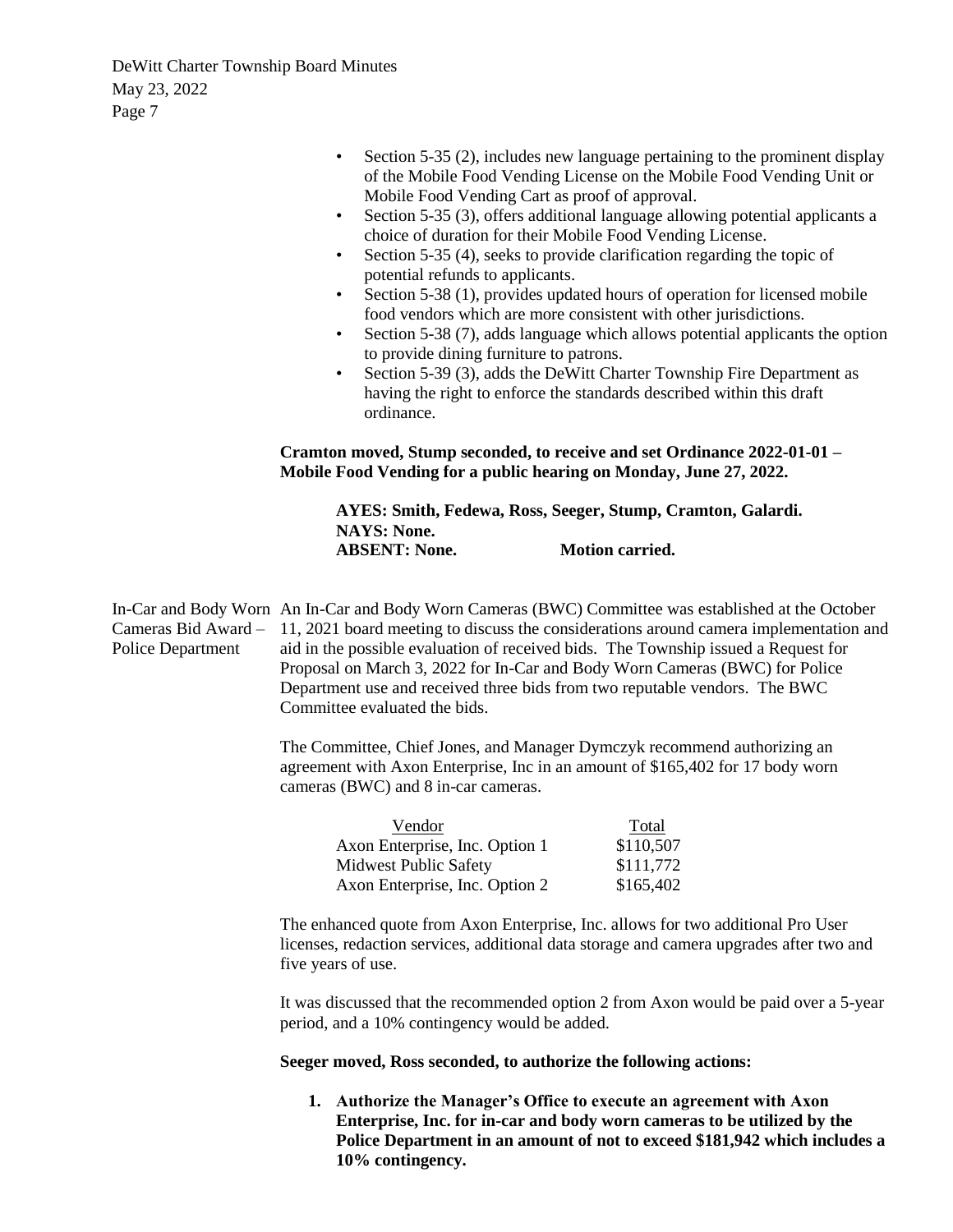|                                                 | Section 5-35 (2), includes new language pertaining to the prominent display<br>of the Mobile Food Vending License on the Mobile Food Vending Unit or<br>Mobile Food Vending Cart as proof of approval.<br>Section 5-35 (3), offers additional language allowing potential applicants a<br>$\bullet$<br>choice of duration for their Mobile Food Vending License.<br>Section 5-35 (4), seeks to provide clarification regarding the topic of<br>$\bullet$<br>potential refunds to applicants.<br>Section 5-38 (1), provides updated hours of operation for licensed mobile<br>$\bullet$<br>food vendors which are more consistent with other jurisdictions.<br>Section 5-38 (7), adds language which allows potential applicants the option<br>$\bullet$<br>to provide dining furniture to patrons.<br>Section 5-39 (3), adds the DeWitt Charter Township Fire Department as<br>$\bullet$<br>having the right to enforce the standards described within this draft<br>ordinance.<br>Cramton moved, Stump seconded, to receive and set Ordinance 2022-01-01 - |  |  |  |
|-------------------------------------------------|-------------------------------------------------------------------------------------------------------------------------------------------------------------------------------------------------------------------------------------------------------------------------------------------------------------------------------------------------------------------------------------------------------------------------------------------------------------------------------------------------------------------------------------------------------------------------------------------------------------------------------------------------------------------------------------------------------------------------------------------------------------------------------------------------------------------------------------------------------------------------------------------------------------------------------------------------------------------------------------------------------------------------------------------------------------|--|--|--|
|                                                 | Mobile Food Vending for a public hearing on Monday, June 27, 2022.                                                                                                                                                                                                                                                                                                                                                                                                                                                                                                                                                                                                                                                                                                                                                                                                                                                                                                                                                                                          |  |  |  |
|                                                 | AYES: Smith, Fedewa, Ross, Seeger, Stump, Cramton, Galardi.<br><b>NAYS: None.</b><br><b>Motion carried.</b><br><b>ABSENT: None.</b>                                                                                                                                                                                                                                                                                                                                                                                                                                                                                                                                                                                                                                                                                                                                                                                                                                                                                                                         |  |  |  |
|                                                 |                                                                                                                                                                                                                                                                                                                                                                                                                                                                                                                                                                                                                                                                                                                                                                                                                                                                                                                                                                                                                                                             |  |  |  |
| Cameras Bid Award -<br><b>Police Department</b> | In-Car and Body Worn An In-Car and Body Worn Cameras (BWC) Committee was established at the October<br>11, 2021 board meeting to discuss the considerations around camera implementation and<br>aid in the possible evaluation of received bids. The Township issued a Request for<br>Proposal on March 3, 2022 for In-Car and Body Worn Cameras (BWC) for Police<br>Department use and received three bids from two reputable vendors. The BWC<br>Committee evaluated the bids.                                                                                                                                                                                                                                                                                                                                                                                                                                                                                                                                                                            |  |  |  |
|                                                 | The Committee, Chief Jones, and Manager Dymczyk recommend authorizing an<br>agreement with Axon Enterprise, Inc in an amount of \$165,402 for 17 body worn<br>cameras (BWC) and 8 in-car cameras.                                                                                                                                                                                                                                                                                                                                                                                                                                                                                                                                                                                                                                                                                                                                                                                                                                                           |  |  |  |
|                                                 | Vendor<br>Total<br>Axon Enterprise, Inc. Option 1<br>\$110,507<br><b>Midwest Public Safety</b><br>\$111,772<br>\$165,402<br>Axon Enterprise, Inc. Option 2                                                                                                                                                                                                                                                                                                                                                                                                                                                                                                                                                                                                                                                                                                                                                                                                                                                                                                  |  |  |  |
|                                                 | The enhanced quote from Axon Enterprise, Inc. allows for two additional Pro User<br>licenses, redaction services, additional data storage and camera upgrades after two and<br>five years of use.                                                                                                                                                                                                                                                                                                                                                                                                                                                                                                                                                                                                                                                                                                                                                                                                                                                           |  |  |  |
|                                                 | It was discussed that the recommended option 2 from Axon would be paid over a 5-year<br>period, and a 10% contingency would be added.                                                                                                                                                                                                                                                                                                                                                                                                                                                                                                                                                                                                                                                                                                                                                                                                                                                                                                                       |  |  |  |
|                                                 | Seeger moved, Ross seconded, to authorize the following actions:                                                                                                                                                                                                                                                                                                                                                                                                                                                                                                                                                                                                                                                                                                                                                                                                                                                                                                                                                                                            |  |  |  |
|                                                 | 1. Authorize the Manager's Office to execute an agreement with Axon                                                                                                                                                                                                                                                                                                                                                                                                                                                                                                                                                                                                                                                                                                                                                                                                                                                                                                                                                                                         |  |  |  |

**1. Authorize the Manager's Office to execute an agreement with Axon Enterprise, Inc. for in-car and body worn cameras to be utilized by the Police Department in an amount of not to exceed \$181,942 which includes a 10% contingency.**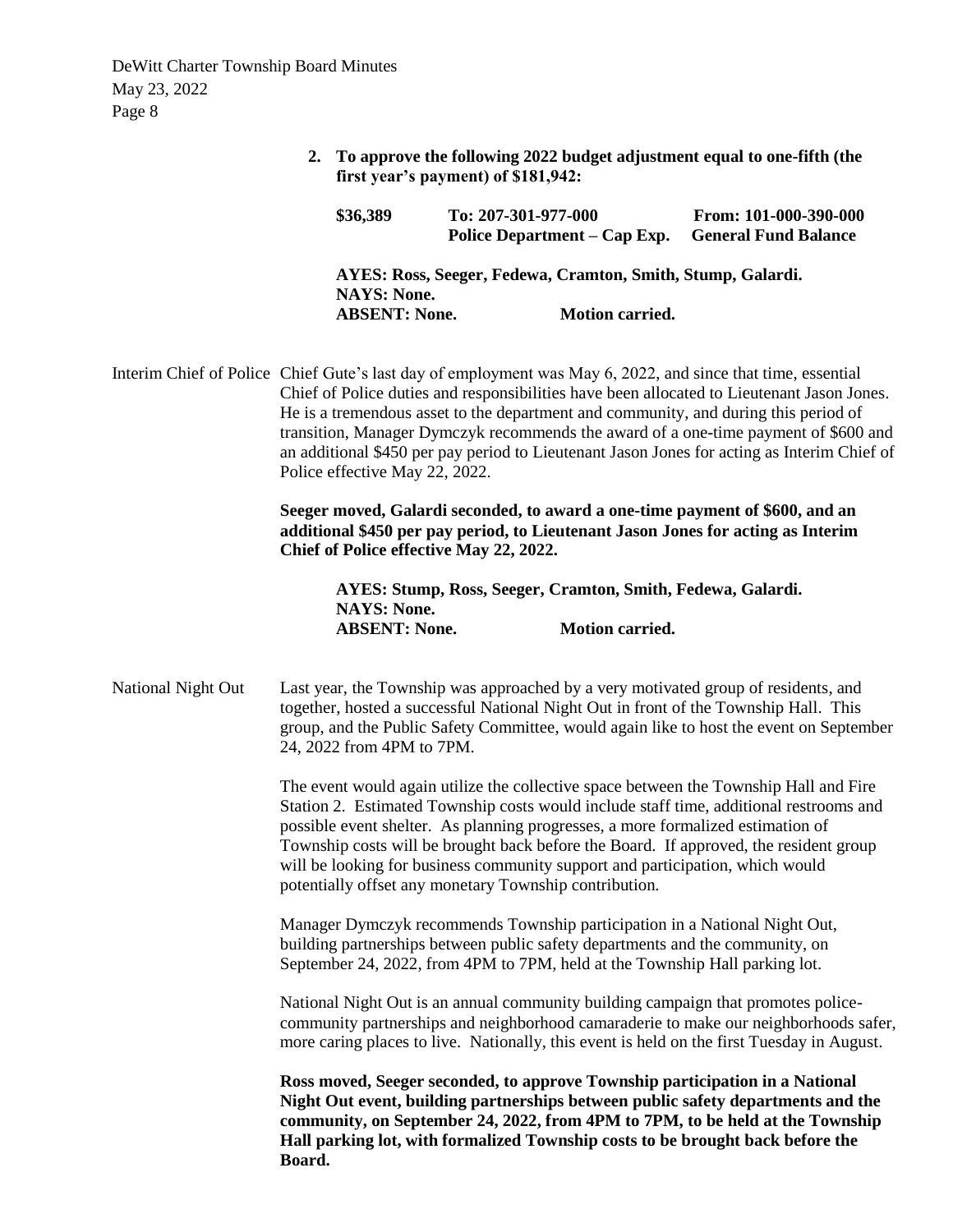| 2. To approve the following 2022 budget adjustment equal to one-fifth (the |
|----------------------------------------------------------------------------|
| first year's payment) of \$181,942:                                        |

| \$36,389             | To: 207-301-977-000 | Police Department – Cap Exp.                                | From: 101-000-390-000<br><b>General Fund Balance</b> |
|----------------------|---------------------|-------------------------------------------------------------|------------------------------------------------------|
|                      |                     | AYES: Ross, Seeger, Fedewa, Cramton, Smith, Stump, Galardi. |                                                      |
| <b>NAYS: None.</b>   |                     |                                                             |                                                      |
| <b>ABSENT: None.</b> |                     | <b>Motion carried.</b>                                      |                                                      |

Interim Chief of Police Chief Gute's last day of employment was May 6, 2022, and since that time, essential Chief of Police duties and responsibilities have been allocated to Lieutenant Jason Jones. He is a tremendous asset to the department and community, and during this period of transition, Manager Dymczyk recommends the award of a one-time payment of \$600 and an additional \$450 per pay period to Lieutenant Jason Jones for acting as Interim Chief of Police effective May 22, 2022.

> **Seeger moved, Galardi seconded, to award a one-time payment of \$600, and an additional \$450 per pay period, to Lieutenant Jason Jones for acting as Interim Chief of Police effective May 22, 2022.**

**AYES: Stump, Ross, Seeger, Cramton, Smith, Fedewa, Galardi. NAYS: None. ABSENT: None. Motion carried.**

National Night Out Last year, the Township was approached by a very motivated group of residents, and together, hosted a successful National Night Out in front of the Township Hall. This group, and the Public Safety Committee, would again like to host the event on September 24, 2022 from 4PM to 7PM.

> The event would again utilize the collective space between the Township Hall and Fire Station 2. Estimated Township costs would include staff time, additional restrooms and possible event shelter. As planning progresses, a more formalized estimation of Township costs will be brought back before the Board. If approved, the resident group will be looking for business community support and participation, which would potentially offset any monetary Township contribution.

Manager Dymczyk recommends Township participation in a National Night Out, building partnerships between public safety departments and the community, on September 24, 2022, from 4PM to 7PM, held at the Township Hall parking lot.

National Night Out is an annual community building campaign that promotes policecommunity partnerships and neighborhood camaraderie to make our neighborhoods safer, more caring places to live. Nationally, this event is held on the first Tuesday in August.

**Ross moved, Seeger seconded, to approve Township participation in a National Night Out event, building partnerships between public safety departments and the community, on September 24, 2022, from 4PM to 7PM, to be held at the Township Hall parking lot, with formalized Township costs to be brought back before the Board.**